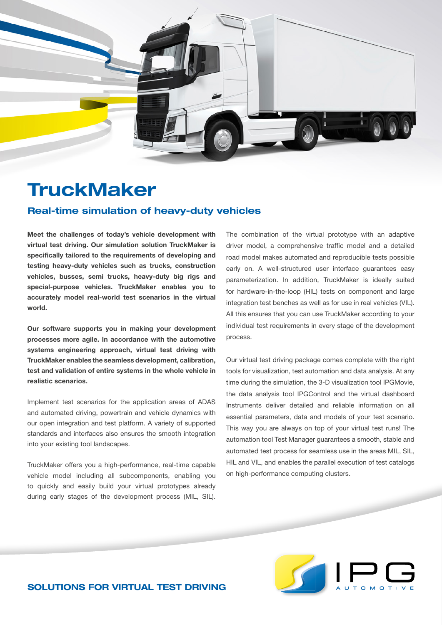

## **TruckMaker**

## Real-time simulation of heavy-duty vehicles

**Meet the challenges of today's vehicle development with virtual test driving. Our simulation solution TruckMaker is specifically tailored to the requirements of developing and testing heavy-duty vehicles such as trucks, construction vehicles, busses, semi trucks, heavy-duty big rigs and special-purpose vehicles. TruckMaker enables you to accurately model real-world test scenarios in the virtual world.** 

**Our software supports you in making your development processes more agile. In accordance with the automotive systems engineering approach, virtual test driving with TruckMaker enables the seamless development, calibration, test and validation of entire systems in the whole vehicle in realistic scenarios.** 

Implement test scenarios for the application areas of ADAS and automated driving, powertrain and vehicle dynamics with our open integration and test platform. A variety of supported standards and interfaces also ensures the smooth integration into your existing tool landscapes.

TruckMaker offers you a high-performance, real-time capable vehicle model including all subcomponents, enabling you to quickly and easily build your virtual prototypes already during early stages of the development process (MIL, SIL).

The combination of the virtual prototype with an adaptive driver model, a comprehensive traffic model and a detailed road model makes automated and reproducible tests possible early on. A well-structured user interface guarantees easy parameterization. In addition, TruckMaker is ideally suited for hardware-in-the-loop (HIL) tests on component and large integration test benches as well as for use in real vehicles (VIL). All this ensures that you can use TruckMaker according to your individual test requirements in every stage of the development process.

Our virtual test driving package comes complete with the right tools for visualization, test automation and data analysis. At any time during the simulation, the 3-D visualization tool IPGMovie, the data analysis tool IPGControl and the virtual dashboard Instruments deliver detailed and reliable information on all essential parameters, data and models of your test scenario. This way you are always on top of your virtual test runs! The automation tool Test Manager guarantees a smooth, stable and automated test process for seamless use in the areas MIL, SIL, HIL and VIL, and enables the parallel execution of test catalogs on high-performance computing clusters.